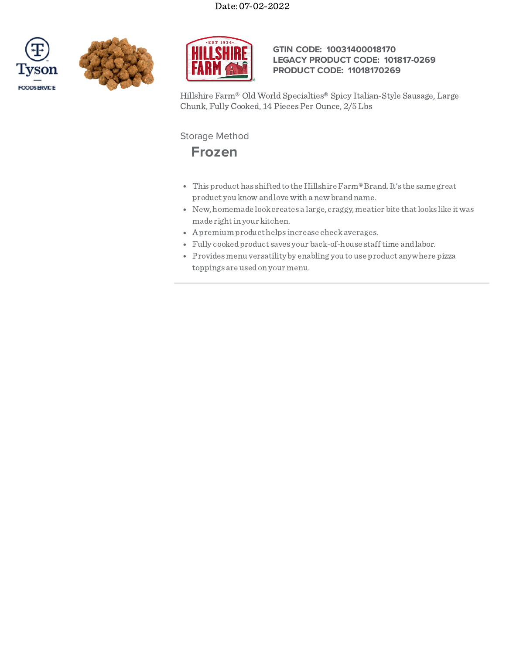





## **GTIN CODE: 10031400018170 LEGACY PRODUCT CODE: 101817-0269 PRODUCT CODE: 11018170269**

Hillshire Farm® Old World Specialties® Spicy Italian-Style Sausage, Large Chunk, Fully Cooked, 14 Pieces Per Ounce, 2/5 Lbs

Storage Method



- This product has shiftedto the Hillshire Farm®Brand.It's the same great product you know andlove with a new brandname.
- New, homemade lookcreates a large, craggy, meatier bite thatlooks like itwas made right in your kitchen.
- Apremium product helps increase checkaverages.
- Fully cookedproduct saves your back-of-house stafftime andlabor.
- Provides menu versatility by enabling you to use product anywhere pizza toppings are usedon your menu.